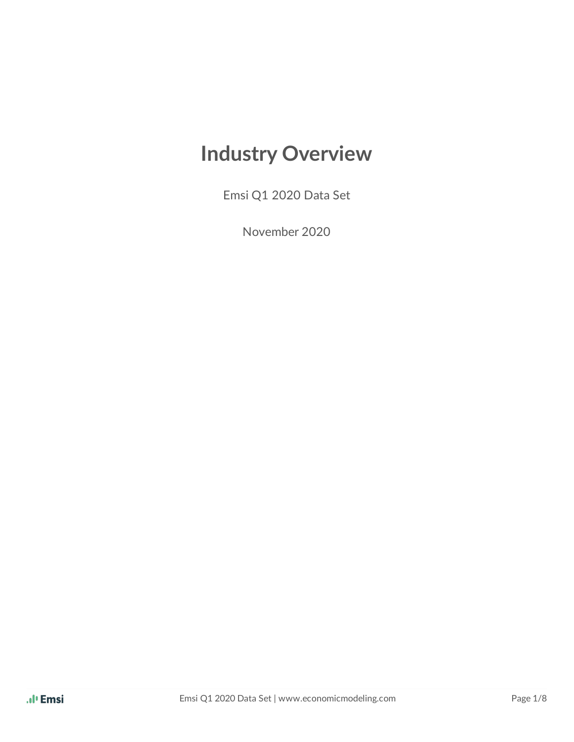# **Industry Overview**

Emsi Q1 2020 Data Set

November 2020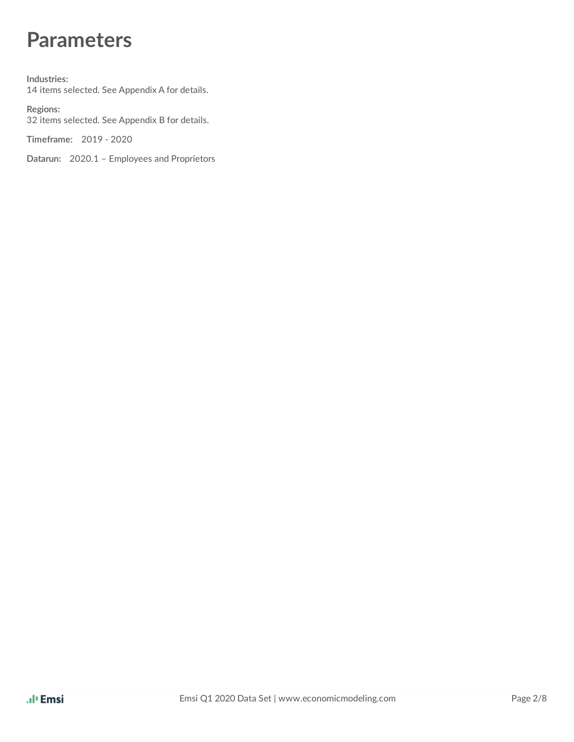## **Parameters**

**Industries:** 14 items selected. See Appendix A for details.

**Regions:** 32 items selected. See Appendix B for details.

**Timeframe:** 2019 - 2020

**Datarun:** 2020.1 – Employees and Proprietors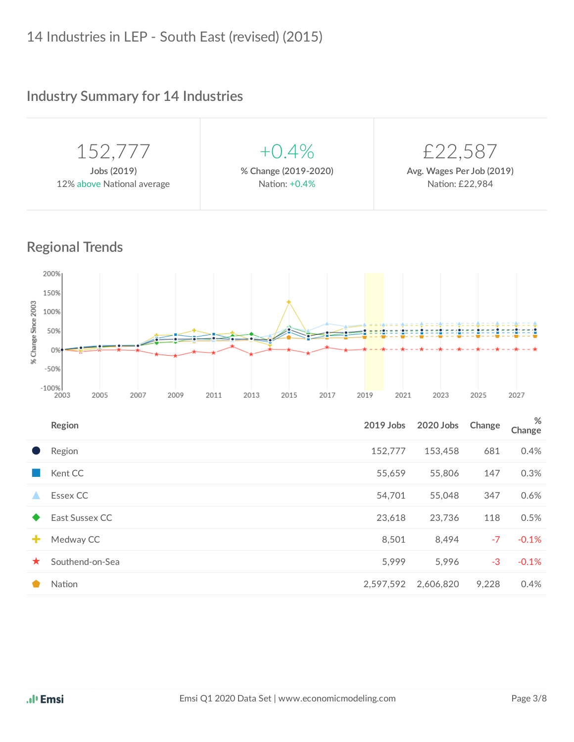### **Industry Summary for 14 Industries**

| 152,777                    | $+0.4\%$             | £22,587                   |
|----------------------------|----------------------|---------------------------|
| Jobs (2019)                | % Change (2019-2020) | Avg. Wages Per Job (2019) |
| 12% above National average | Nation: +0.4%        | Nation: £22,984           |
|                            |                      |                           |

#### **Regional Trends**



|         | Region          | 2019 Jobs | 2020 Jobs | Change | %<br>Change |
|---------|-----------------|-----------|-----------|--------|-------------|
|         | Region          | 152,777   | 153,458   | 681    | 0.4%        |
|         | Kent CC         | 55,659    | 55,806    | 147    | 0.3%        |
| ▲       | Essex CC        | 54,701    | 55,048    | 347    | 0.6%        |
|         | East Sussex CC  | 23,618    | 23,736    | 118    | 0.5%        |
| ÷       | Medway CC       | 8,501     | 8,494     | $-7$   | $-0.1%$     |
| $\star$ | Southend-on-Sea | 5,999     | 5,996     | $-3$   | $-0.1%$     |
|         | Nation          | 2,597,592 | 2,606,820 | 9,228  | 0.4%        |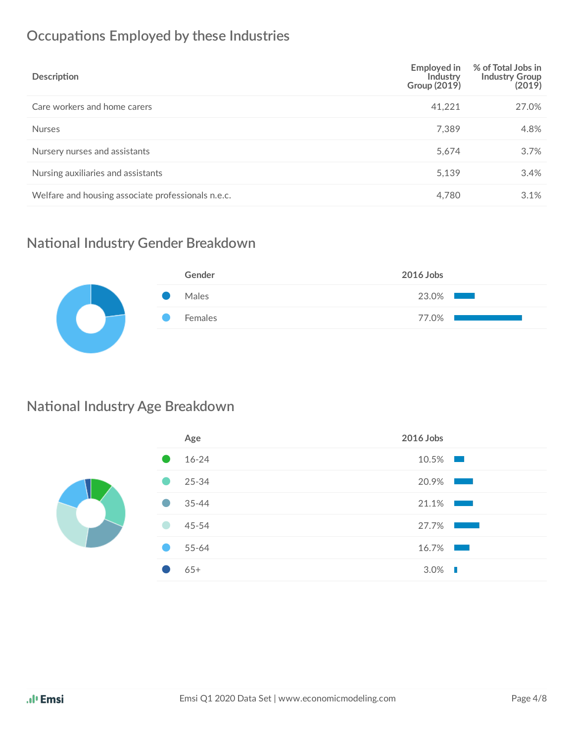### **Occupations Employed by these Industries**

| Description                                        | Employed in<br>Industry<br>Group (2019) | % of Total Jobs in<br><b>Industry Group</b><br>(2019) |
|----------------------------------------------------|-----------------------------------------|-------------------------------------------------------|
| Care workers and home carers                       | 41,221                                  | 27.0%                                                 |
| <b>Nurses</b>                                      | 7,389                                   | 4.8%                                                  |
| Nursery nurses and assistants                      | 5,674                                   | 3.7%                                                  |
| Nursing auxiliaries and assistants                 | 5,139                                   | 3.4%                                                  |
| Welfare and housing associate professionals n.e.c. | 4,780                                   | 3.1%                                                  |

#### **National Industry Gender Breakdown**

| Gender  | 2016 Jobs |
|---------|-----------|
| Males   | 23.0%     |
| Females | 77.0%     |
|         |           |

#### **National Industry Age Breakdown**

| Age       | 2016 Jobs                                                                                                                      |
|-----------|--------------------------------------------------------------------------------------------------------------------------------|
| 16-24     | $10.5\%$                                                                                                                       |
| 25-34     | 20.9%<br>$\sim 1000$ m $^{-1}$                                                                                                 |
| $35 - 44$ | 21.1%<br><b>Contract Contract</b>                                                                                              |
| 45-54     | 27.7%<br><b>Contract Contract Contract Contract Contract Contract Contract Contract Contract Contract Contract Contract Co</b> |
| 55-64     | $16.7\%$                                                                                                                       |
| $65+$     | $3.0\%$                                                                                                                        |
|           |                                                                                                                                |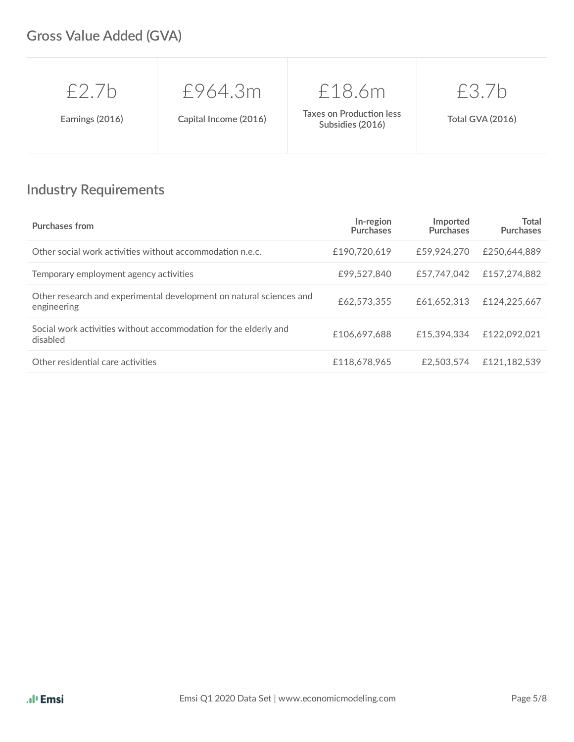### **Gross Value Added (GVA)**

| $f$ 7h          | £964.3m               | £18.6m                                              | £3.7b                   |
|-----------------|-----------------------|-----------------------------------------------------|-------------------------|
| Earnings (2016) | Capital Income (2016) | <b>Taxes on Production less</b><br>Subsidies (2016) | <b>Total GVA (2016)</b> |

### **Industry Requirements**

| <b>Purchases from</b>                                                              | In-region<br><b>Purchases</b> | Imported<br><b>Purchases</b> | Total<br><b>Purchases</b> |
|------------------------------------------------------------------------------------|-------------------------------|------------------------------|---------------------------|
| Other social work activities without accommodation n.e.c.                          | £190,720.619                  | £59,924,270                  | £250,644,889              |
| Temporary employment agency activities                                             | £99.527.840                   | £57.747.042                  | £157,274,882              |
| Other research and experimental development on natural sciences and<br>engineering | £62,573,355                   | £61.652.313                  | £124,225,667              |
| Social work activities without accommodation for the elderly and<br>disabled       | £106.697.688                  | £15.394.334                  | £122.092.021              |
| Other residential care activities                                                  | £118,678,965                  | £2,503,574                   | £121.182.539              |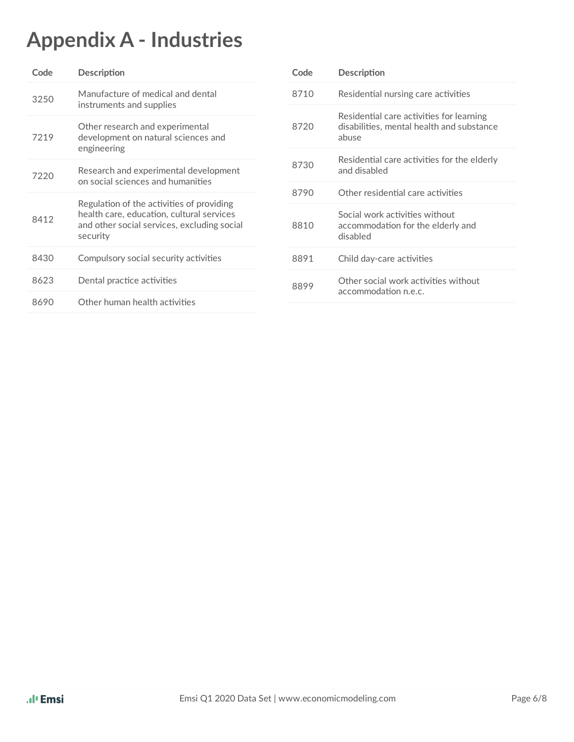# **Appendix A - Industries**

| Code | Description                                                                                                                                       | Code | Description                                                                                    |  |
|------|---------------------------------------------------------------------------------------------------------------------------------------------------|------|------------------------------------------------------------------------------------------------|--|
| 3250 | Manufacture of medical and dental<br>instruments and supplies                                                                                     | 8710 | Residential nursing care activities                                                            |  |
| 7219 | 8720<br>Other research and experimental<br>development on natural sciences and<br>engineering                                                     |      | Residential care activities for learning<br>disabilities, mental health and substance<br>abuse |  |
| 7220 | Research and experimental development<br>on social sciences and humanities                                                                        | 8730 | Residential care activities for the elderly<br>and disabled                                    |  |
|      |                                                                                                                                                   | 8790 | Other residential care activities                                                              |  |
| 8412 | Regulation of the activities of providing<br>health care, education, cultural services<br>and other social services, excluding social<br>security | 8810 | Social work activities without<br>accommodation for the elderly and<br>disabled                |  |
| 8430 | Compulsory social security activities                                                                                                             | 8891 | Child day-care activities                                                                      |  |
| 8623 | Dental practice activities                                                                                                                        | 8899 | Other social work activities without                                                           |  |
| 8690 | Other human health activities                                                                                                                     |      | accommodation n.e.c.                                                                           |  |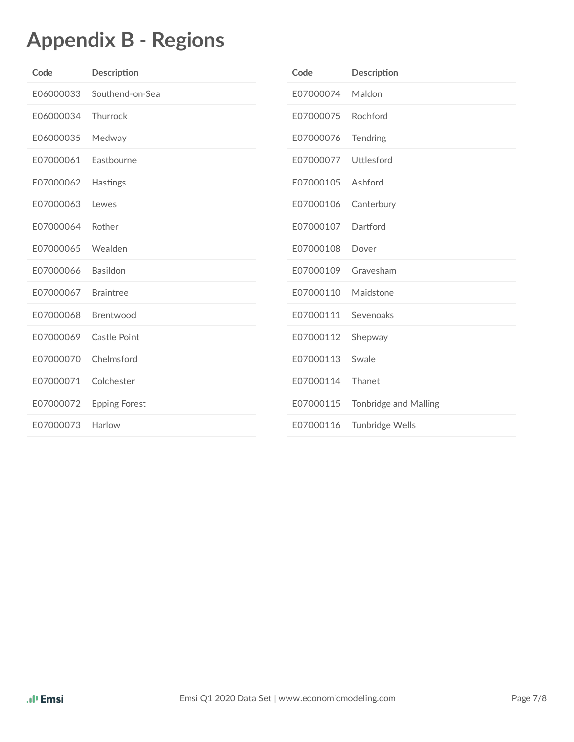# **Appendix B - Regions**

| Code      | Description          | Code      | Description                  |
|-----------|----------------------|-----------|------------------------------|
| E06000033 | Southend-on-Sea      | E07000074 | Maldon                       |
| E06000034 | Thurrock             | E07000075 | Rochford                     |
| E06000035 | Medway               | E07000076 | Tendring                     |
| E07000061 | Eastbourne           | E07000077 | Uttlesford                   |
| E07000062 | Hastings             | E07000105 | Ashford                      |
| E07000063 | Lewes                | E07000106 | Canterbury                   |
| E07000064 | Rother               | E07000107 | Dartford                     |
| E07000065 | Wealden              | E07000108 | Dover                        |
| E07000066 | Basildon             | E07000109 | Gravesham                    |
| E07000067 | <b>Braintree</b>     | E07000110 | Maidstone                    |
| E07000068 | Brentwood            | E07000111 | Sevenoaks                    |
| E07000069 | Castle Point         | E07000112 | Shepway                      |
| E07000070 | Chelmsford           | E07000113 | Swale                        |
| E07000071 | Colchester           | E07000114 | Thanet                       |
| E07000072 | <b>Epping Forest</b> | E07000115 | <b>Tonbridge and Malling</b> |
| E07000073 | Harlow               | E07000116 | Tunbridge Wells              |